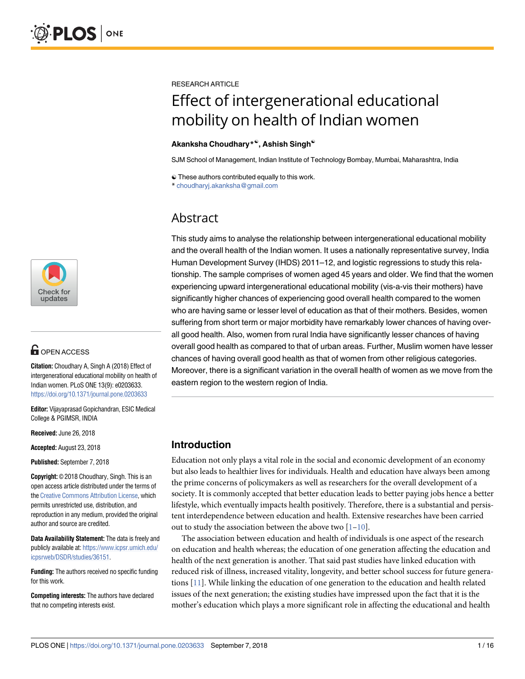

# **OPEN ACCESS**

**Citation:** Choudhary A, Singh A (2018) Effect of intergenerational educational mobility on health of Indian women. PLoS ONE 13(9): e0203633. <https://doi.org/10.1371/journal.pone.0203633>

**Editor:** Vijayaprasad Gopichandran, ESIC Medical College & PGIMSR, INDIA

**Received:** June 26, 2018

**Accepted:** August 23, 2018

**Published:** September 7, 2018

**Copyright:** © 2018 Choudhary, Singh. This is an open access article distributed under the terms of the [Creative Commons Attribution License,](http://creativecommons.org/licenses/by/4.0/) which permits unrestricted use, distribution, and reproduction in any medium, provided the original author and source are credited.

**Data Availability Statement:** The data is freely and publicly available at: [https://www.icpsr.umich.edu/](https://www.icpsr.umich.edu/icpsrweb/DSDR/studies/36151) [icpsrweb/DSDR/studies/36151](https://www.icpsr.umich.edu/icpsrweb/DSDR/studies/36151).

**Funding:** The authors received no specific funding for this work.

**Competing interests:** The authors have declared that no competing interests exist.

<span id="page-0-0"></span>RESEARCH ARTICLE

# Effect of intergenerational educational mobility on health of Indian women

# **Akanksha Choudhary\*** ☯ **, Ashish Singh**☯

SJM School of Management, Indian Institute of Technology Bombay, Mumbai, Maharashtra, India

☯ These authors contributed equally to this work.

\* choudharyj.akanksha@gmail.com

# Abstract

This study aims to analyse the relationship between intergenerational educational mobility and the overall health of the Indian women. It uses a nationally representative survey, India Human Development Survey (IHDS) 2011–12, and logistic regressions to study this relationship. The sample comprises of women aged 45 years and older. We find that the women experiencing upward intergenerational educational mobility (vis-a-vis their mothers) have significantly higher chances of experiencing good overall health compared to the women who are having same or lesser level of education as that of their mothers. Besides, women suffering from short term or major morbidity have remarkably lower chances of having overall good health. Also, women from rural India have significantly lesser chances of having overall good health as compared to that of urban areas. Further, Muslim women have lesser chances of having overall good health as that of women from other religious categories. Moreover, there is a significant variation in the overall health of women as we move from the eastern region to the western region of India.

# **Introduction**

Education not only plays a vital role in the social and economic development of an economy but also leads to healthier lives for individuals. Health and education have always been among the prime concerns of policymakers as well as researchers for the overall development of a society. It is commonly accepted that better education leads to better paying jobs hence a better lifestyle, which eventually impacts health positively. Therefore, there is a substantial and persistent interdependence between education and health. Extensive researches have been carried out to study the association between the above two  $[1-10]$  $[1-10]$  $[1-10]$  $[1-10]$ .

The association between education and health of individuals is one aspect of the research on education and health whereas; the education of one generation affecting the education and health of the next generation is another. That said past studies have linked education with reduced risk of illness, increased vitality, longevity, and better school success for future generations [\[11\]](#page-13-0). While linking the education of one generation to the education and health related issues of the next generation; the existing studies have impressed upon the fact that it is the mother's education which plays a more significant role in affecting the educational and health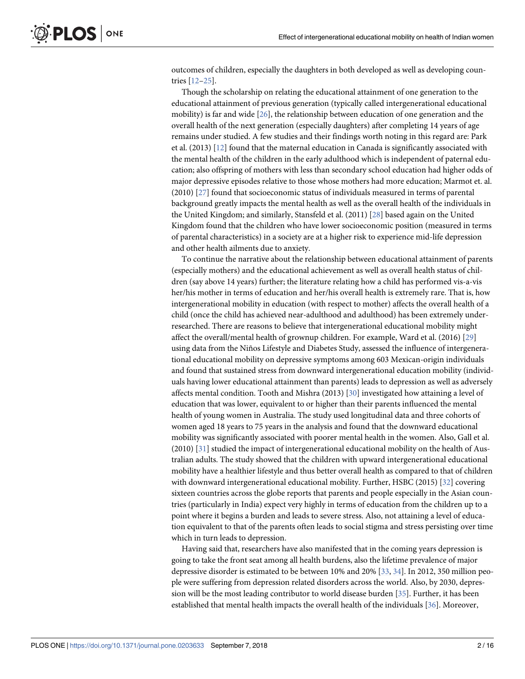<span id="page-1-0"></span>outcomes of children, especially the daughters in both developed as well as developing countries [[12–25\]](#page-13-0).

Though the scholarship on relating the educational attainment of one generation to the educational attainment of previous generation (typically called intergenerational educational mobility) is far and wide [[26](#page-13-0)], the relationship between education of one generation and the overall health of the next generation (especially daughters) after completing 14 years of age remains under studied. A few studies and their findings worth noting in this regard are: Park et al. (2013) [\[12\]](#page-13-0) found that the maternal education in Canada is significantly associated with the mental health of the children in the early adulthood which is independent of paternal education; also offspring of mothers with less than secondary school education had higher odds of major depressive episodes relative to those whose mothers had more education; Marmot et. al. (2010) [\[27\]](#page-13-0) found that socioeconomic status of individuals measured in terms of parental background greatly impacts the mental health as well as the overall health of the individuals in the United Kingdom; and similarly, Stansfeld et al. (2011) [\[28\]](#page-13-0) based again on the United Kingdom found that the children who have lower socioeconomic position (measured in terms of parental characteristics) in a society are at a higher risk to experience mid-life depression and other health ailments due to anxiety.

To continue the narrative about the relationship between educational attainment of parents (especially mothers) and the educational achievement as well as overall health status of children (say above 14 years) further; the literature relating how a child has performed vis-a-vis her/his mother in terms of education and her/his overall health is extremely rare. That is, how intergenerational mobility in education (with respect to mother) affects the overall health of a child (once the child has achieved near-adulthood and adulthood) has been extremely underresearched. There are reasons to believe that intergenerational educational mobility might affect the overall/mental health of grownup children. For example, Ward et al. (2016) [[29](#page-13-0)] using data from the Niños Lifestyle and Diabetes Study, assessed the influence of intergenerational educational mobility on depressive symptoms among 603 Mexican-origin individuals and found that sustained stress from downward intergenerational education mobility (individuals having lower educational attainment than parents) leads to depression as well as adversely affects mental condition. Tooth and Mishra (2013) [[30](#page-14-0)] investigated how attaining a level of education that was lower, equivalent to or higher than their parents influenced the mental health of young women in Australia. The study used longitudinal data and three cohorts of women aged 18 years to 75 years in the analysis and found that the downward educational mobility was significantly associated with poorer mental health in the women. Also, Gall et al. (2010) [\[31\]](#page-14-0) studied the impact of intergenerational educational mobility on the health of Australian adults. The study showed that the children with upward intergenerational educational mobility have a healthier lifestyle and thus better overall health as compared to that of children with downward intergenerational educational mobility. Further, HSBC (2015) [\[32\]](#page-14-0) covering sixteen countries across the globe reports that parents and people especially in the Asian countries (particularly in India) expect very highly in terms of education from the children up to a point where it begins a burden and leads to severe stress. Also, not attaining a level of education equivalent to that of the parents often leads to social stigma and stress persisting over time which in turn leads to depression.

Having said that, researchers have also manifested that in the coming years depression is going to take the front seat among all health burdens, also the lifetime prevalence of major depressive disorder is estimated to be between 10% and 20% [[33](#page-14-0), [34\]](#page-14-0). In 2012, 350 million people were suffering from depression related disorders across the world. Also, by 2030, depression will be the most leading contributor to world disease burden  $[35]$ . Further, it has been established that mental health impacts the overall health of the individuals [\[36\]](#page-14-0). Moreover,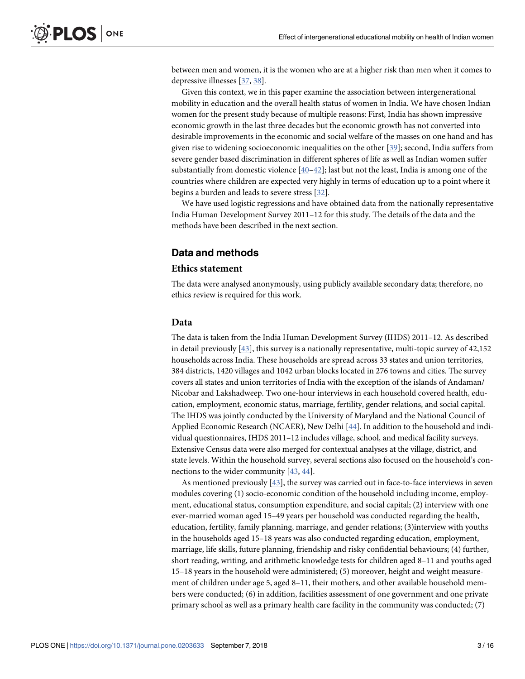<span id="page-2-0"></span>between men and women, it is the women who are at a higher risk than men when it comes to depressive illnesses [\[37,](#page-14-0) [38\]](#page-14-0).

Given this context, we in this paper examine the association between intergenerational mobility in education and the overall health status of women in India. We have chosen Indian women for the present study because of multiple reasons: First, India has shown impressive economic growth in the last three decades but the economic growth has not converted into desirable improvements in the economic and social welfare of the masses on one hand and has given rise to widening socioeconomic inequalities on the other [\[39\]](#page-14-0); second, India suffers from severe gender based discrimination in different spheres of life as well as Indian women suffer substantially from domestic violence  $[40-42]$ ; last but not the least, India is among one of the countries where children are expected very highly in terms of education up to a point where it begins a burden and leads to severe stress [[32](#page-14-0)].

We have used logistic regressions and have obtained data from the nationally representative India Human Development Survey 2011–12 for this study. The details of the data and the methods have been described in the next section.

# **Data and methods**

#### **Ethics statement**

The data were analysed anonymously, using publicly available secondary data; therefore, no ethics review is required for this work.

#### **Data**

The data is taken from the India Human Development Survey (IHDS) 2011–12. As described in detail previously [\[43\]](#page-14-0), this survey is a nationally representative, multi-topic survey of 42,152 households across India. These households are spread across 33 states and union territories, 384 districts, 1420 villages and 1042 urban blocks located in 276 towns and cities. The survey covers all states and union territories of India with the exception of the islands of Andaman/ Nicobar and Lakshadweep. Two one-hour interviews in each household covered health, education, employment, economic status, marriage, fertility, gender relations, and social capital. The IHDS was jointly conducted by the University of Maryland and the National Council of Applied Economic Research (NCAER), New Delhi [[44](#page-14-0)]. In addition to the household and individual questionnaires, IHDS 2011–12 includes village, school, and medical facility surveys. Extensive Census data were also merged for contextual analyses at the village, district, and state levels. Within the household survey, several sections also focused on the household's connections to the wider community [\[43,](#page-14-0) [44\]](#page-14-0).

As mentioned previously [\[43\]](#page-14-0), the survey was carried out in face-to-face interviews in seven modules covering (1) socio-economic condition of the household including income, employment, educational status, consumption expenditure, and social capital; (2) interview with one ever-married woman aged 15–49 years per household was conducted regarding the health, education, fertility, family planning, marriage, and gender relations; (3)interview with youths in the households aged 15–18 years was also conducted regarding education, employment, marriage, life skills, future planning, friendship and risky confidential behaviours; (4) further, short reading, writing, and arithmetic knowledge tests for children aged 8–11 and youths aged 15–18 years in the household were administered; (5) moreover, height and weight measurement of children under age 5, aged 8–11, their mothers, and other available household members were conducted; (6) in addition, facilities assessment of one government and one private primary school as well as a primary health care facility in the community was conducted; (7)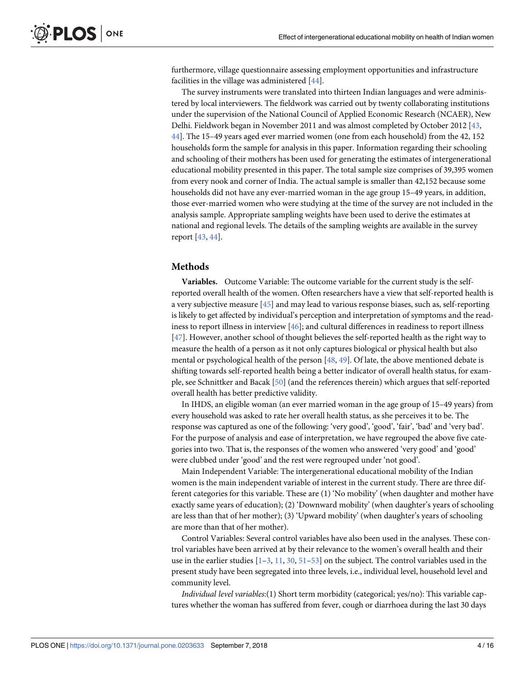<span id="page-3-0"></span>furthermore, village questionnaire assessing employment opportunities and infrastructure facilities in the village was administered [[44](#page-14-0)].

The survey instruments were translated into thirteen Indian languages and were administered by local interviewers. The fieldwork was carried out by twenty collaborating institutions under the supervision of the National Council of Applied Economic Research (NCAER), New Delhi. Fieldwork began in November 2011 and was almost completed by October 2012 [\[43,](#page-14-0) [44\]](#page-14-0). The 15–49 years aged ever married women (one from each household) from the 42, 152 households form the sample for analysis in this paper. Information regarding their schooling and schooling of their mothers has been used for generating the estimates of intergenerational educational mobility presented in this paper. The total sample size comprises of 39,395 women from every nook and corner of India. The actual sample is smaller than 42,152 because some households did not have any ever-married woman in the age group 15–49 years, in addition, those ever-married women who were studying at the time of the survey are not included in the analysis sample. Appropriate sampling weights have been used to derive the estimates at national and regional levels. The details of the sampling weights are available in the survey report [[43](#page-14-0), [44\]](#page-14-0).

#### **Methods**

**Variables.** Outcome Variable: The outcome variable for the current study is the selfreported overall health of the women. Often researchers have a view that self-reported health is a very subjective measure [[45](#page-14-0)] and may lead to various response biases, such as, self-reporting is likely to get affected by individual's perception and interpretation of symptoms and the readiness to report illness in interview [\[46\]](#page-14-0); and cultural differences in readiness to report illness [\[47\]](#page-14-0). However, another school of thought believes the self-reported health as the right way to measure the health of a person as it not only captures biological or physical health but also mental or psychological health of the person [\[48,](#page-14-0) [49\]](#page-14-0). Of late, the above mentioned debate is shifting towards self-reported health being a better indicator of overall health status, for example, see Schnittker and Bacak [[50](#page-14-0)] (and the references therein) which argues that self-reported overall health has better predictive validity.

In IHDS, an eligible woman (an ever married woman in the age group of 15–49 years) from every household was asked to rate her overall health status, as she perceives it to be. The response was captured as one of the following: 'very good', 'good', 'fair', 'bad' and 'very bad'. For the purpose of analysis and ease of interpretation, we have regrouped the above five categories into two. That is, the responses of the women who answered 'very good' and 'good' were clubbed under 'good' and the rest were regrouped under 'not good'.

Main Independent Variable: The intergenerational educational mobility of the Indian women is the main independent variable of interest in the current study. There are three different categories for this variable. These are (1) 'No mobility' (when daughter and mother have exactly same years of education); (2) 'Downward mobility' (when daughter's years of schooling are less than that of her mother); (3) 'Upward mobility' (when daughter's years of schooling are more than that of her mother).

Control Variables: Several control variables have also been used in the analyses. These control variables have been arrived at by their relevance to the women's overall health and their use in the earlier studies  $[1-3, 11, 30, 51-53]$  $[1-3, 11, 30, 51-53]$  $[1-3, 11, 30, 51-53]$  $[1-3, 11, 30, 51-53]$  $[1-3, 11, 30, 51-53]$  on the subject. The control variables used in the present study have been segregated into three levels, i.e., individual level, household level and community level.

Individual level variables:(1) Short term morbidity (categorical; yes/no): This variable captures whether the woman has suffered from fever, cough or diarrhoea during the last 30 days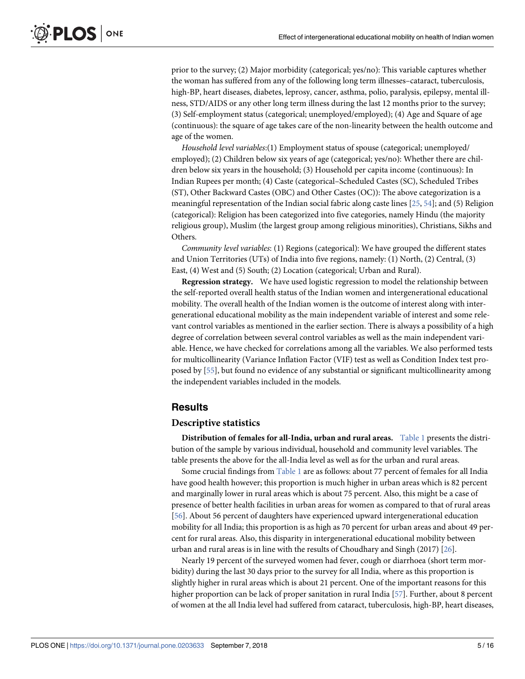<span id="page-4-0"></span>prior to the survey; (2) Major morbidity (categorical; yes/no): This variable captures whether the woman has suffered from any of the following long term illnesses–cataract, tuberculosis, high-BP, heart diseases, diabetes, leprosy, cancer, asthma, polio, paralysis, epilepsy, mental illness, STD/AIDS or any other long term illness during the last 12 months prior to the survey; (3) Self-employment status (categorical; unemployed/employed); (4) Age and Square of age (continuous): the square of age takes care of the non-linearity between the health outcome and age of the women.

Household level variables:(1) Employment status of spouse (categorical; unemployed/ employed); (2) Children below six years of age (categorical; yes/no): Whether there are children below six years in the household; (3) Household per capita income (continuous): In Indian Rupees per month; (4) Caste (categorical–Scheduled Castes (SC), Scheduled Tribes (ST), Other Backward Castes (OBC) and Other Castes (OC)): The above categorization is a meaningful representation of the Indian social fabric along caste lines [\[25,](#page-13-0) [54\]](#page-14-0); and (5) Religion (categorical): Religion has been categorized into five categories, namely Hindu (the majority religious group), Muslim (the largest group among religious minorities), Christians, Sikhs and Others.

Community level variables: (1) Regions (categorical): We have grouped the different states and Union Territories (UTs) of India into five regions, namely: (1) North, (2) Central, (3) East, (4) West and (5) South; (2) Location (categorical; Urban and Rural).

**Regression strategy.** We have used logistic regression to model the relationship between the self-reported overall health status of the Indian women and intergenerational educational mobility. The overall health of the Indian women is the outcome of interest along with intergenerational educational mobility as the main independent variable of interest and some relevant control variables as mentioned in the earlier section. There is always a possibility of a high degree of correlation between several control variables as well as the main independent variable. Hence, we have checked for correlations among all the variables. We also performed tests for multicollinearity (Variance Inflation Factor (VIF) test as well as Condition Index test proposed by [[55](#page-14-0)], but found no evidence of any substantial or significant multicollinearity among the independent variables included in the models.

## **Results**

#### **Descriptive statistics**

**Distribution of females for all-India, urban and rural areas.** [Table 1](#page-5-0) presents the distribution of the sample by various individual, household and community level variables. The table presents the above for the all-India level as well as for the urban and rural areas.

Some crucial findings from [Table 1](#page-5-0) are as follows: about 77 percent of females for all India have good health however; this proportion is much higher in urban areas which is 82 percent and marginally lower in rural areas which is about 75 percent. Also, this might be a case of presence of better health facilities in urban areas for women as compared to that of rural areas [\[56\]](#page-14-0). About 56 percent of daughters have experienced upward intergenerational education mobility for all India; this proportion is as high as 70 percent for urban areas and about 49 percent for rural areas. Also, this disparity in intergenerational educational mobility between urban and rural areas is in line with the results of Choudhary and Singh (2017)  $[26]$  $[26]$  $[26]$ .

Nearly 19 percent of the surveyed women had fever, cough or diarrhoea (short term morbidity) during the last 30 days prior to the survey for all India, where as this proportion is slightly higher in rural areas which is about 21 percent. One of the important reasons for this higher proportion can be lack of proper sanitation in rural India [\[57\]](#page-15-0). Further, about 8 percent of women at the all India level had suffered from cataract, tuberculosis, high-BP, heart diseases,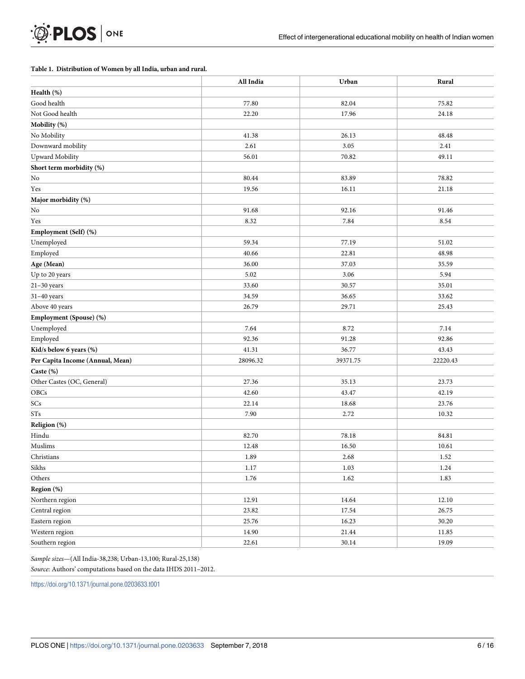#### <span id="page-5-0"></span>**[Table 1.](#page-4-0) Distribution of Women by all India, urban and rural.**

|                                  | All India | Urban    | Rural    |
|----------------------------------|-----------|----------|----------|
| Health (%)                       |           |          |          |
| Good health                      | 77.80     | 82.04    | 75.82    |
| Not Good health                  | 22.20     | 17.96    | 24.18    |
| Mobility (%)                     |           |          |          |
| No Mobility                      | 41.38     | 26.13    | 48.48    |
| Downward mobility                | 2.61      | 3.05     | 2.41     |
| <b>Upward Mobility</b>           | 56.01     | 70.82    | 49.11    |
| Short term morbidity (%)         |           |          |          |
| No                               | 80.44     | 83.89    | 78.82    |
| Yes                              | 19.56     | 16.11    | 21.18    |
| Major morbidity (%)              |           |          |          |
| No                               | 91.68     | 92.16    | 91.46    |
| Yes                              | 8.32      | 7.84     | 8.54     |
| Employment (Self) (%)            |           |          |          |
| Unemployed                       | 59.34     | 77.19    | 51.02    |
| Employed                         | 40.66     | 22.81    | 48.98    |
| Age (Mean)                       | 36.00     | 37.03    | 35.59    |
| Up to 20 years                   | 5.02      | 3.06     | 5.94     |
| $21-30$ years                    | 33.60     | 30.57    | 35.01    |
| $31-40$ years                    | 34.59     | 36.65    | 33.62    |
| Above 40 years                   | 26.79     | 29.71    | 25.43    |
| Employment (Spouse) (%)          |           |          |          |
| Unemployed                       | 7.64      | 8.72     | 7.14     |
| Employed                         | 92.36     | 91.28    | 92.86    |
| Kid/s below 6 years (%)          | 41.31     | 36.77    | 43.43    |
| Per Capita Income (Annual, Mean) | 28096.32  | 39371.75 | 22220.43 |
| Caste (%)                        |           |          |          |
| Other Castes (OC, General)       | 27.36     | 35.13    | 23.73    |
| OBCs                             | 42.60     | 43.47    | 42.19    |
| SCs                              | 22.14     | 18.68    | 23.76    |
| STs                              | 7.90      | 2.72     | 10.32    |
| Religion (%)                     |           |          |          |
| Hindu                            | 82.70     | 78.18    | 84.81    |
| Muslims                          | 12.48     | 16.50    | 10.61    |
| Christians                       | 1.89      | 2.68     | 1.52     |
| Sikhs                            | $1.17\,$  | 1.03     | 1.24     |
| Others                           | 1.76      | 1.62     | 1.83     |
| Region (%)                       |           |          |          |
| Northern region                  | 12.91     | 14.64    | 12.10    |
| Central region                   | 23.82     | 17.54    | 26.75    |
| Eastern region                   | 25.76     | 16.23    | 30.20    |
| Western region                   | 14.90     | 21.44    | 11.85    |
| Southern region                  | 22.61     | 30.14    | 19.09    |

Sample sizes—(All India-38,238; Urban-13,100; Rural-25,138)

Source: Authors' computations based on the data IHDS 2011–2012.

<https://doi.org/10.1371/journal.pone.0203633.t001>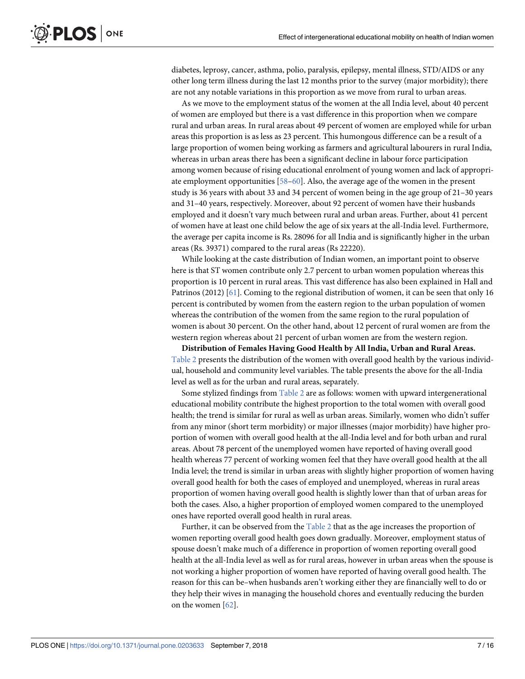<span id="page-6-0"></span>diabetes, leprosy, cancer, asthma, polio, paralysis, epilepsy, mental illness, STD/AIDS or any other long term illness during the last 12 months prior to the survey (major morbidity); there are not any notable variations in this proportion as we move from rural to urban areas.

As we move to the employment status of the women at the all India level, about 40 percent of women are employed but there is a vast difference in this proportion when we compare rural and urban areas. In rural areas about 49 percent of women are employed while for urban areas this proportion is as less as 23 percent. This humongous difference can be a result of a large proportion of women being working as farmers and agricultural labourers in rural India, whereas in urban areas there has been a significant decline in labour force participation among women because of rising educational enrolment of young women and lack of appropriate employment opportunities [\[58–60](#page-15-0)]. Also, the average age of the women in the present study is 36 years with about 33 and 34 percent of women being in the age group of 21–30 years and 31–40 years, respectively. Moreover, about 92 percent of women have their husbands employed and it doesn't vary much between rural and urban areas. Further, about 41 percent of women have at least one child below the age of six years at the all-India level. Furthermore, the average per capita income is Rs. 28096 for all India and is significantly higher in the urban areas (Rs. 39371) compared to the rural areas (Rs 22220).

While looking at the caste distribution of Indian women, an important point to observe here is that ST women contribute only 2.7 percent to urban women population whereas this proportion is 10 percent in rural areas. This vast difference has also been explained in Hall and Patrinos (2012) [\[61\]](#page-15-0). Coming to the regional distribution of women, it can be seen that only 16 percent is contributed by women from the eastern region to the urban population of women whereas the contribution of the women from the same region to the rural population of women is about 30 percent. On the other hand, about 12 percent of rural women are from the western region whereas about 21 percent of urban women are from the western region.

**Distribution of Females Having Good Health by All India, Urban and Rural Areas.** [Table 2](#page-7-0) presents the distribution of the women with overall good health by the various individual, household and community level variables. The table presents the above for the all-India level as well as for the urban and rural areas, separately.

Some stylized findings from [Table 2](#page-7-0) are as follows: women with upward intergenerational educational mobility contribute the highest proportion to the total women with overall good health; the trend is similar for rural as well as urban areas. Similarly, women who didn't suffer from any minor (short term morbidity) or major illnesses (major morbidity) have higher proportion of women with overall good health at the all-India level and for both urban and rural areas. About 78 percent of the unemployed women have reported of having overall good health whereas 77 percent of working women feel that they have overall good health at the all India level; the trend is similar in urban areas with slightly higher proportion of women having overall good health for both the cases of employed and unemployed, whereas in rural areas proportion of women having overall good health is slightly lower than that of urban areas for both the cases. Also, a higher proportion of employed women compared to the unemployed ones have reported overall good health in rural areas.

Further, it can be observed from the [Table 2](#page-7-0) that as the age increases the proportion of women reporting overall good health goes down gradually. Moreover, employment status of spouse doesn't make much of a difference in proportion of women reporting overall good health at the all-India level as well as for rural areas, however in urban areas when the spouse is not working a higher proportion of women have reported of having overall good health. The reason for this can be–when husbands aren't working either they are financially well to do or they help their wives in managing the household chores and eventually reducing the burden on the women [[62](#page-15-0)].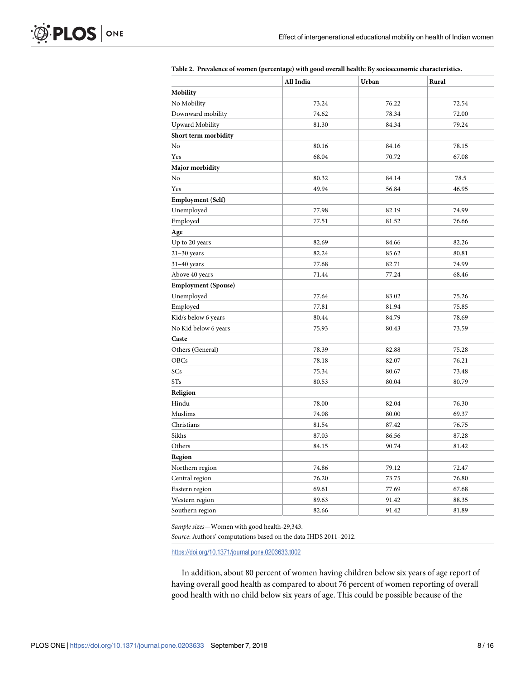<span id="page-7-0"></span>

|                            | All India | Urban | Rural |
|----------------------------|-----------|-------|-------|
| Mobility                   |           |       |       |
| No Mobility                | 73.24     | 76.22 | 72.54 |
| Downward mobility          | 74.62     | 78.34 | 72.00 |
| <b>Upward Mobility</b>     | 81.30     | 84.34 | 79.24 |
| Short term morbidity       |           |       |       |
| No                         | 80.16     | 84.16 | 78.15 |
| Yes                        | 68.04     | 70.72 | 67.08 |
| Major morbidity            |           |       |       |
| No                         | 80.32     | 84.14 | 78.5  |
| Yes                        | 49.94     | 56.84 | 46.95 |
| <b>Employment</b> (Self)   |           |       |       |
| Unemployed                 | 77.98     | 82.19 | 74.99 |
| Employed                   | 77.51     | 81.52 | 76.66 |
| Age                        |           |       |       |
| Up to 20 years             | 82.69     | 84.66 | 82.26 |
| $21-30$ years              | 82.24     | 85.62 | 80.81 |
| $31-40$ years              | 77.68     | 82.71 | 74.99 |
| Above 40 years             | 71.44     | 77.24 | 68.46 |
| <b>Employment (Spouse)</b> |           |       |       |
| Unemployed                 | 77.64     | 83.02 | 75.26 |
| Employed                   | 77.81     | 81.94 | 75.85 |
| Kid/s below 6 years        | 80.44     | 84.79 | 78.69 |
| No Kid below 6 years       | 75.93     | 80.43 | 73.59 |
| Caste                      |           |       |       |
| Others (General)           | 78.39     | 82.88 | 75.28 |
| OBCs                       | 78.18     | 82.07 | 76.21 |
| SCs                        | 75.34     | 80.67 | 73.48 |
| STs                        | 80.53     | 80.04 | 80.79 |
| Religion                   |           |       |       |
| Hindu                      | 78.00     | 82.04 | 76.30 |
| Muslims                    | 74.08     | 80.00 | 69.37 |
| Christians                 | 81.54     | 87.42 | 76.75 |
| Sikhs                      | 87.03     | 86.56 | 87.28 |
| Others                     | 84.15     | 90.74 | 81.42 |
| Region                     |           |       |       |
| Northern region            | 74.86     | 79.12 | 72.47 |
| Central region             | 76.20     | 73.75 | 76.80 |
| Eastern region             | 69.61     | 77.69 | 67.68 |
| Western region             | 89.63     | 91.42 | 88.35 |
| Southern region            | 82.66     | 91.42 | 81.89 |

**[Table 2.](#page-6-0) Prevalence of women (percentage) with good overall health: By socioeconomic characteristics.**

Sample sizes—Women with good health-29,343.

Source: Authors' computations based on the data IHDS 2011–2012.

<https://doi.org/10.1371/journal.pone.0203633.t002>

In addition, about 80 percent of women having children below six years of age report of having overall good health as compared to about 76 percent of women reporting of overall good health with no child below six years of age. This could be possible because of the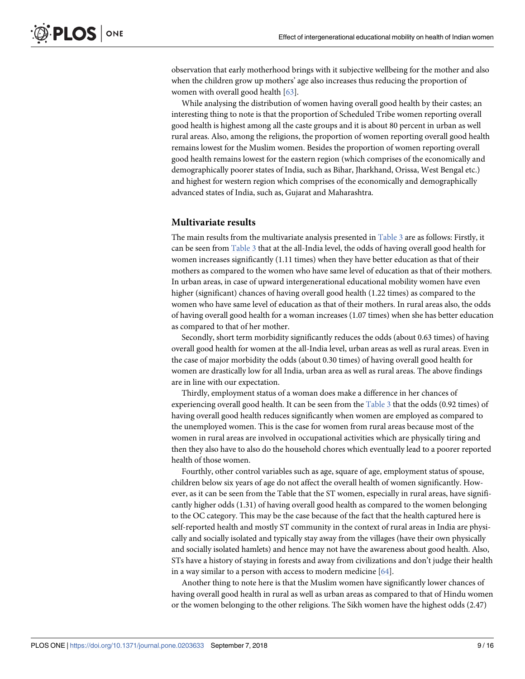<span id="page-8-0"></span>observation that early motherhood brings with it subjective wellbeing for the mother and also when the children grow up mothers' age also increases thus reducing the proportion of women with overall good health [\[63\]](#page-15-0).

While analysing the distribution of women having overall good health by their castes; an interesting thing to note is that the proportion of Scheduled Tribe women reporting overall good health is highest among all the caste groups and it is about 80 percent in urban as well rural areas. Also, among the religions, the proportion of women reporting overall good health remains lowest for the Muslim women. Besides the proportion of women reporting overall good health remains lowest for the eastern region (which comprises of the economically and demographically poorer states of India, such as Bihar, Jharkhand, Orissa, West Bengal etc.) and highest for western region which comprises of the economically and demographically advanced states of India, such as, Gujarat and Maharashtra.

### **Multivariate results**

The main results from the multivariate analysis presented in [Table 3](#page-9-0) are as follows: Firstly, it can be seen from [Table 3](#page-9-0) that at the all-India level, the odds of having overall good health for women increases significantly (1.11 times) when they have better education as that of their mothers as compared to the women who have same level of education as that of their mothers. In urban areas, in case of upward intergenerational educational mobility women have even higher (significant) chances of having overall good health (1.22 times) as compared to the women who have same level of education as that of their mothers. In rural areas also, the odds of having overall good health for a woman increases (1.07 times) when she has better education as compared to that of her mother.

Secondly, short term morbidity significantly reduces the odds (about 0.63 times) of having overall good health for women at the all-India level, urban areas as well as rural areas. Even in the case of major morbidity the odds (about 0.30 times) of having overall good health for women are drastically low for all India, urban area as well as rural areas. The above findings are in line with our expectation.

Thirdly, employment status of a woman does make a difference in her chances of experiencing overall good health. It can be seen from the  $Table 3$  that the odds (0.92 times) of having overall good health reduces significantly when women are employed as compared to the unemployed women. This is the case for women from rural areas because most of the women in rural areas are involved in occupational activities which are physically tiring and then they also have to also do the household chores which eventually lead to a poorer reported health of those women.

Fourthly, other control variables such as age, square of age, employment status of spouse, children below six years of age do not affect the overall health of women significantly. However, as it can be seen from the Table that the ST women, especially in rural areas, have significantly higher odds (1.31) of having overall good health as compared to the women belonging to the OC category. This may be the case because of the fact that the health captured here is self-reported health and mostly ST community in the context of rural areas in India are physically and socially isolated and typically stay away from the villages (have their own physically and socially isolated hamlets) and hence may not have the awareness about good health. Also, STs have a history of staying in forests and away from civilizations and don't judge their health in a way similar to a person with access to modern medicine [\[64\]](#page-15-0).

Another thing to note here is that the Muslim women have significantly lower chances of having overall good health in rural as well as urban areas as compared to that of Hindu women or the women belonging to the other religions. The Sikh women have the highest odds (2.47)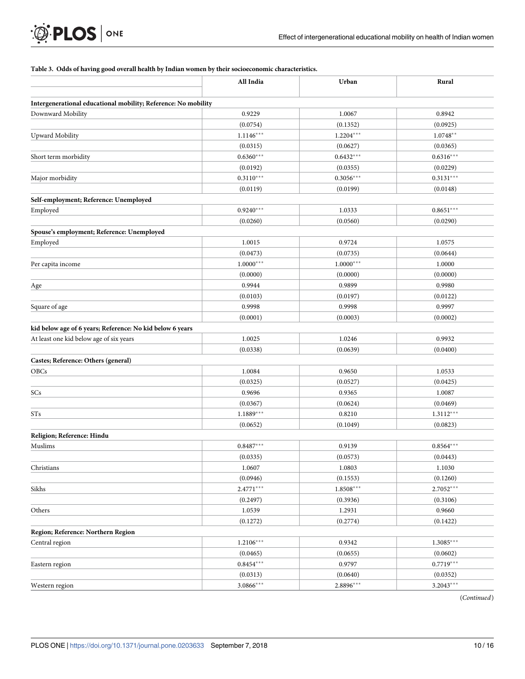#### <span id="page-9-0"></span>**[Table 3.](#page-8-0) Odds of having good overall health by Indian women by their socioeconomic characteristics.**

| Intergenerational educational mobility; Reference: No mobility<br>Downward Mobility<br>0.9229<br>1.0067<br>0.8942<br>(0.0754)<br>(0.1352)<br>(0.0925)<br><b>Upward Mobility</b><br>$1.1146***$<br>$1.2204***$<br>$1.0748**$<br>(0.0315)<br>(0.0627)<br>(0.0365)<br>$0.6316***$<br>$0.6360***$<br>$0.6432***$<br>Short term morbidity<br>(0.0192)<br>(0.0355)<br>(0.0229)<br>$0.3110***$<br>$0.3056***$<br>$0.3131***$<br>Major morbidity<br>(0.0119)<br>(0.0199)<br>(0.0148)<br>$0.9240***$<br>$0.8651***$<br>1.0333<br>(0.0560)<br>(0.0290)<br>(0.0260)<br>1.0015<br>0.9724<br>1.0575<br>(0.0473)<br>(0.0735)<br>(0.0644)<br>$1.0000***$<br>$1.0000***$<br>1.0000<br>(0.0000)<br>(0.0000)<br>(0.0000)<br>0.9899<br>0.9944<br>0.9980<br>(0.0103)<br>(0.0197)<br>(0.0122)<br>0.9998<br>0.9998<br>0.9997<br>(0.0001)<br>(0.0003)<br>(0.0002)<br>1.0025<br>1.0246<br>0.9932<br>(0.0338)<br>(0.0639)<br>(0.0400)<br>1.0084<br>0.9650<br>1.0533<br>(0.0325)<br>(0.0527)<br>(0.0425)<br>0.9696<br>0.9365<br>1.0087<br>(0.0367)<br>(0.0624)<br>(0.0469)<br>$1.1889***$<br>$1.3112***$<br>0.8210<br>(0.0652)<br>(0.1049)<br>(0.0823)<br>$0.8487***$<br>$0.8564***$<br>0.9139<br>(0.0573)<br>(0.0335)<br>(0.0443)<br>1.0607<br>1.0803<br>1.1030<br>(0.1260)<br>(0.0946)<br>(0.1553)<br>$2.4771***$<br>$1.8508***$<br>2.7052***<br>(0.2497)<br>(0.3936)<br>(0.3106)<br>1.0539<br>1.2931<br>0.9660<br>(0.2774)<br>(0.1272)<br>(0.1422)<br>$1.2106***$<br>$1.3085***$<br>0.9342<br>(0.0465)<br>(0.0655)<br>(0.0602)<br>$0.8454***$<br>$0.7719***$<br>0.9797<br>(0.0313)<br>(0.0640)<br>(0.0352)<br>$3.0866***$<br>2.8896***<br>$3.2043***$ |                                                           | All India | Urban | Rural |
|--------------------------------------------------------------------------------------------------------------------------------------------------------------------------------------------------------------------------------------------------------------------------------------------------------------------------------------------------------------------------------------------------------------------------------------------------------------------------------------------------------------------------------------------------------------------------------------------------------------------------------------------------------------------------------------------------------------------------------------------------------------------------------------------------------------------------------------------------------------------------------------------------------------------------------------------------------------------------------------------------------------------------------------------------------------------------------------------------------------------------------------------------------------------------------------------------------------------------------------------------------------------------------------------------------------------------------------------------------------------------------------------------------------------------------------------------------------------------------------------------------------------------------------------------------------------------------------------------------------------------------|-----------------------------------------------------------|-----------|-------|-------|
|                                                                                                                                                                                                                                                                                                                                                                                                                                                                                                                                                                                                                                                                                                                                                                                                                                                                                                                                                                                                                                                                                                                                                                                                                                                                                                                                                                                                                                                                                                                                                                                                                                |                                                           |           |       |       |
|                                                                                                                                                                                                                                                                                                                                                                                                                                                                                                                                                                                                                                                                                                                                                                                                                                                                                                                                                                                                                                                                                                                                                                                                                                                                                                                                                                                                                                                                                                                                                                                                                                |                                                           |           |       |       |
|                                                                                                                                                                                                                                                                                                                                                                                                                                                                                                                                                                                                                                                                                                                                                                                                                                                                                                                                                                                                                                                                                                                                                                                                                                                                                                                                                                                                                                                                                                                                                                                                                                |                                                           |           |       |       |
|                                                                                                                                                                                                                                                                                                                                                                                                                                                                                                                                                                                                                                                                                                                                                                                                                                                                                                                                                                                                                                                                                                                                                                                                                                                                                                                                                                                                                                                                                                                                                                                                                                |                                                           |           |       |       |
|                                                                                                                                                                                                                                                                                                                                                                                                                                                                                                                                                                                                                                                                                                                                                                                                                                                                                                                                                                                                                                                                                                                                                                                                                                                                                                                                                                                                                                                                                                                                                                                                                                |                                                           |           |       |       |
|                                                                                                                                                                                                                                                                                                                                                                                                                                                                                                                                                                                                                                                                                                                                                                                                                                                                                                                                                                                                                                                                                                                                                                                                                                                                                                                                                                                                                                                                                                                                                                                                                                |                                                           |           |       |       |
|                                                                                                                                                                                                                                                                                                                                                                                                                                                                                                                                                                                                                                                                                                                                                                                                                                                                                                                                                                                                                                                                                                                                                                                                                                                                                                                                                                                                                                                                                                                                                                                                                                |                                                           |           |       |       |
|                                                                                                                                                                                                                                                                                                                                                                                                                                                                                                                                                                                                                                                                                                                                                                                                                                                                                                                                                                                                                                                                                                                                                                                                                                                                                                                                                                                                                                                                                                                                                                                                                                |                                                           |           |       |       |
|                                                                                                                                                                                                                                                                                                                                                                                                                                                                                                                                                                                                                                                                                                                                                                                                                                                                                                                                                                                                                                                                                                                                                                                                                                                                                                                                                                                                                                                                                                                                                                                                                                |                                                           |           |       |       |
|                                                                                                                                                                                                                                                                                                                                                                                                                                                                                                                                                                                                                                                                                                                                                                                                                                                                                                                                                                                                                                                                                                                                                                                                                                                                                                                                                                                                                                                                                                                                                                                                                                | Self-employment; Reference: Unemployed                    |           |       |       |
|                                                                                                                                                                                                                                                                                                                                                                                                                                                                                                                                                                                                                                                                                                                                                                                                                                                                                                                                                                                                                                                                                                                                                                                                                                                                                                                                                                                                                                                                                                                                                                                                                                | Employed                                                  |           |       |       |
|                                                                                                                                                                                                                                                                                                                                                                                                                                                                                                                                                                                                                                                                                                                                                                                                                                                                                                                                                                                                                                                                                                                                                                                                                                                                                                                                                                                                                                                                                                                                                                                                                                |                                                           |           |       |       |
|                                                                                                                                                                                                                                                                                                                                                                                                                                                                                                                                                                                                                                                                                                                                                                                                                                                                                                                                                                                                                                                                                                                                                                                                                                                                                                                                                                                                                                                                                                                                                                                                                                | Spouse's employment; Reference: Unemployed                |           |       |       |
|                                                                                                                                                                                                                                                                                                                                                                                                                                                                                                                                                                                                                                                                                                                                                                                                                                                                                                                                                                                                                                                                                                                                                                                                                                                                                                                                                                                                                                                                                                                                                                                                                                | Employed                                                  |           |       |       |
|                                                                                                                                                                                                                                                                                                                                                                                                                                                                                                                                                                                                                                                                                                                                                                                                                                                                                                                                                                                                                                                                                                                                                                                                                                                                                                                                                                                                                                                                                                                                                                                                                                |                                                           |           |       |       |
|                                                                                                                                                                                                                                                                                                                                                                                                                                                                                                                                                                                                                                                                                                                                                                                                                                                                                                                                                                                                                                                                                                                                                                                                                                                                                                                                                                                                                                                                                                                                                                                                                                | Per capita income                                         |           |       |       |
|                                                                                                                                                                                                                                                                                                                                                                                                                                                                                                                                                                                                                                                                                                                                                                                                                                                                                                                                                                                                                                                                                                                                                                                                                                                                                                                                                                                                                                                                                                                                                                                                                                |                                                           |           |       |       |
|                                                                                                                                                                                                                                                                                                                                                                                                                                                                                                                                                                                                                                                                                                                                                                                                                                                                                                                                                                                                                                                                                                                                                                                                                                                                                                                                                                                                                                                                                                                                                                                                                                | Age                                                       |           |       |       |
|                                                                                                                                                                                                                                                                                                                                                                                                                                                                                                                                                                                                                                                                                                                                                                                                                                                                                                                                                                                                                                                                                                                                                                                                                                                                                                                                                                                                                                                                                                                                                                                                                                |                                                           |           |       |       |
|                                                                                                                                                                                                                                                                                                                                                                                                                                                                                                                                                                                                                                                                                                                                                                                                                                                                                                                                                                                                                                                                                                                                                                                                                                                                                                                                                                                                                                                                                                                                                                                                                                | Square of age                                             |           |       |       |
|                                                                                                                                                                                                                                                                                                                                                                                                                                                                                                                                                                                                                                                                                                                                                                                                                                                                                                                                                                                                                                                                                                                                                                                                                                                                                                                                                                                                                                                                                                                                                                                                                                |                                                           |           |       |       |
|                                                                                                                                                                                                                                                                                                                                                                                                                                                                                                                                                                                                                                                                                                                                                                                                                                                                                                                                                                                                                                                                                                                                                                                                                                                                                                                                                                                                                                                                                                                                                                                                                                | kid below age of 6 years; Reference: No kid below 6 years |           |       |       |
|                                                                                                                                                                                                                                                                                                                                                                                                                                                                                                                                                                                                                                                                                                                                                                                                                                                                                                                                                                                                                                                                                                                                                                                                                                                                                                                                                                                                                                                                                                                                                                                                                                | At least one kid below age of six years                   |           |       |       |
|                                                                                                                                                                                                                                                                                                                                                                                                                                                                                                                                                                                                                                                                                                                                                                                                                                                                                                                                                                                                                                                                                                                                                                                                                                                                                                                                                                                                                                                                                                                                                                                                                                |                                                           |           |       |       |
|                                                                                                                                                                                                                                                                                                                                                                                                                                                                                                                                                                                                                                                                                                                                                                                                                                                                                                                                                                                                                                                                                                                                                                                                                                                                                                                                                                                                                                                                                                                                                                                                                                | Castes; Reference: Others (general)                       |           |       |       |
|                                                                                                                                                                                                                                                                                                                                                                                                                                                                                                                                                                                                                                                                                                                                                                                                                                                                                                                                                                                                                                                                                                                                                                                                                                                                                                                                                                                                                                                                                                                                                                                                                                | OBCs                                                      |           |       |       |
|                                                                                                                                                                                                                                                                                                                                                                                                                                                                                                                                                                                                                                                                                                                                                                                                                                                                                                                                                                                                                                                                                                                                                                                                                                                                                                                                                                                                                                                                                                                                                                                                                                |                                                           |           |       |       |
|                                                                                                                                                                                                                                                                                                                                                                                                                                                                                                                                                                                                                                                                                                                                                                                                                                                                                                                                                                                                                                                                                                                                                                                                                                                                                                                                                                                                                                                                                                                                                                                                                                | SCs                                                       |           |       |       |
|                                                                                                                                                                                                                                                                                                                                                                                                                                                                                                                                                                                                                                                                                                                                                                                                                                                                                                                                                                                                                                                                                                                                                                                                                                                                                                                                                                                                                                                                                                                                                                                                                                |                                                           |           |       |       |
|                                                                                                                                                                                                                                                                                                                                                                                                                                                                                                                                                                                                                                                                                                                                                                                                                                                                                                                                                                                                                                                                                                                                                                                                                                                                                                                                                                                                                                                                                                                                                                                                                                | STs                                                       |           |       |       |
|                                                                                                                                                                                                                                                                                                                                                                                                                                                                                                                                                                                                                                                                                                                                                                                                                                                                                                                                                                                                                                                                                                                                                                                                                                                                                                                                                                                                                                                                                                                                                                                                                                |                                                           |           |       |       |
|                                                                                                                                                                                                                                                                                                                                                                                                                                                                                                                                                                                                                                                                                                                                                                                                                                                                                                                                                                                                                                                                                                                                                                                                                                                                                                                                                                                                                                                                                                                                                                                                                                | Religion; Reference: Hindu                                |           |       |       |
|                                                                                                                                                                                                                                                                                                                                                                                                                                                                                                                                                                                                                                                                                                                                                                                                                                                                                                                                                                                                                                                                                                                                                                                                                                                                                                                                                                                                                                                                                                                                                                                                                                | Muslims                                                   |           |       |       |
|                                                                                                                                                                                                                                                                                                                                                                                                                                                                                                                                                                                                                                                                                                                                                                                                                                                                                                                                                                                                                                                                                                                                                                                                                                                                                                                                                                                                                                                                                                                                                                                                                                |                                                           |           |       |       |
|                                                                                                                                                                                                                                                                                                                                                                                                                                                                                                                                                                                                                                                                                                                                                                                                                                                                                                                                                                                                                                                                                                                                                                                                                                                                                                                                                                                                                                                                                                                                                                                                                                | Christians                                                |           |       |       |
|                                                                                                                                                                                                                                                                                                                                                                                                                                                                                                                                                                                                                                                                                                                                                                                                                                                                                                                                                                                                                                                                                                                                                                                                                                                                                                                                                                                                                                                                                                                                                                                                                                |                                                           |           |       |       |
|                                                                                                                                                                                                                                                                                                                                                                                                                                                                                                                                                                                                                                                                                                                                                                                                                                                                                                                                                                                                                                                                                                                                                                                                                                                                                                                                                                                                                                                                                                                                                                                                                                | Sikhs                                                     |           |       |       |
|                                                                                                                                                                                                                                                                                                                                                                                                                                                                                                                                                                                                                                                                                                                                                                                                                                                                                                                                                                                                                                                                                                                                                                                                                                                                                                                                                                                                                                                                                                                                                                                                                                |                                                           |           |       |       |
|                                                                                                                                                                                                                                                                                                                                                                                                                                                                                                                                                                                                                                                                                                                                                                                                                                                                                                                                                                                                                                                                                                                                                                                                                                                                                                                                                                                                                                                                                                                                                                                                                                | Others                                                    |           |       |       |
|                                                                                                                                                                                                                                                                                                                                                                                                                                                                                                                                                                                                                                                                                                                                                                                                                                                                                                                                                                                                                                                                                                                                                                                                                                                                                                                                                                                                                                                                                                                                                                                                                                |                                                           |           |       |       |
|                                                                                                                                                                                                                                                                                                                                                                                                                                                                                                                                                                                                                                                                                                                                                                                                                                                                                                                                                                                                                                                                                                                                                                                                                                                                                                                                                                                                                                                                                                                                                                                                                                | Region; Reference: Northern Region                        |           |       |       |
|                                                                                                                                                                                                                                                                                                                                                                                                                                                                                                                                                                                                                                                                                                                                                                                                                                                                                                                                                                                                                                                                                                                                                                                                                                                                                                                                                                                                                                                                                                                                                                                                                                | Central region                                            |           |       |       |
|                                                                                                                                                                                                                                                                                                                                                                                                                                                                                                                                                                                                                                                                                                                                                                                                                                                                                                                                                                                                                                                                                                                                                                                                                                                                                                                                                                                                                                                                                                                                                                                                                                |                                                           |           |       |       |
|                                                                                                                                                                                                                                                                                                                                                                                                                                                                                                                                                                                                                                                                                                                                                                                                                                                                                                                                                                                                                                                                                                                                                                                                                                                                                                                                                                                                                                                                                                                                                                                                                                | Eastern region                                            |           |       |       |
|                                                                                                                                                                                                                                                                                                                                                                                                                                                                                                                                                                                                                                                                                                                                                                                                                                                                                                                                                                                                                                                                                                                                                                                                                                                                                                                                                                                                                                                                                                                                                                                                                                |                                                           |           |       |       |
|                                                                                                                                                                                                                                                                                                                                                                                                                                                                                                                                                                                                                                                                                                                                                                                                                                                                                                                                                                                                                                                                                                                                                                                                                                                                                                                                                                                                                                                                                                                                                                                                                                | Western region                                            |           |       |       |

(Continued)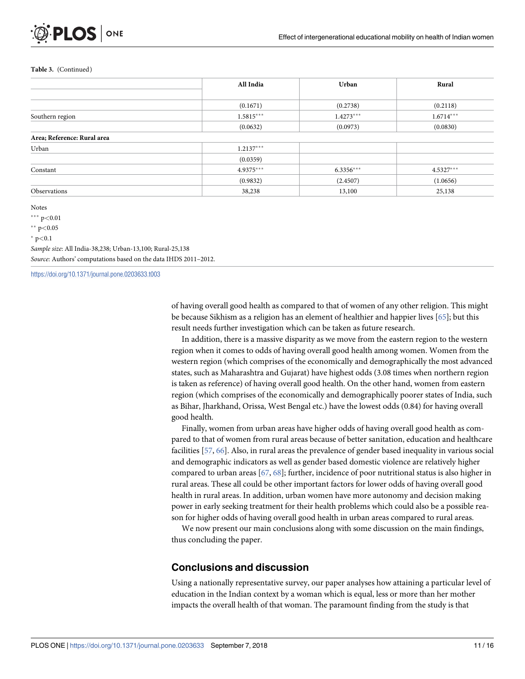#### <span id="page-10-0"></span>**Table 3.** (Continued)

|                             | All India   | Urban       | Rural       |
|-----------------------------|-------------|-------------|-------------|
|                             |             |             |             |
|                             | (0.1671)    | (0.2738)    | (0.2118)    |
| Southern region             | $1.5815***$ | $1.4273***$ | $1.6714***$ |
|                             | (0.0632)    | (0.0973)    | (0.0830)    |
| Area; Reference: Rural area |             |             |             |
| Urban                       | $1.2137***$ |             |             |
|                             | (0.0359)    |             |             |
| Constant                    | $4.9375***$ | $6.3356***$ | $4.5327***$ |
|                             | (0.9832)    | (2.4507)    | (1.0656)    |
| Observations                | 38,238      | 13,100      | 25,138      |

Notes

 $***$  p $<$ 0.01

p*<*0.05

p*<*0.1

Sample size: All India-38,238; Urban-13,100; Rural-25,138 Source: Authors' computations based on the data IHDS 2011–2012.

<https://doi.org/10.1371/journal.pone.0203633.t003>

of having overall good health as compared to that of women of any other religion. This might be because Sikhism as a religion has an element of healthier and happier lives [\[65\]](#page-15-0); but this result needs further investigation which can be taken as future research.

In addition, there is a massive disparity as we move from the eastern region to the western region when it comes to odds of having overall good health among women. Women from the western region (which comprises of the economically and demographically the most advanced states, such as Maharashtra and Gujarat) have highest odds (3.08 times when northern region is taken as reference) of having overall good health. On the other hand, women from eastern region (which comprises of the economically and demographically poorer states of India, such as Bihar, Jharkhand, Orissa, West Bengal etc.) have the lowest odds (0.84) for having overall good health.

Finally, women from urban areas have higher odds of having overall good health as compared to that of women from rural areas because of better sanitation, education and healthcare facilities [\[57,](#page-15-0) [66\]](#page-15-0). Also, in rural areas the prevalence of gender based inequality in various social and demographic indicators as well as gender based domestic violence are relatively higher compared to urban areas [[67](#page-15-0), [68](#page-15-0)]; further, incidence of poor nutritional status is also higher in rural areas. These all could be other important factors for lower odds of having overall good health in rural areas. In addition, urban women have more autonomy and decision making power in early seeking treatment for their health problems which could also be a possible reason for higher odds of having overall good health in urban areas compared to rural areas.

We now present our main conclusions along with some discussion on the main findings, thus concluding the paper.

# **Conclusions and discussion**

Using a nationally representative survey, our paper analyses how attaining a particular level of education in the Indian context by a woman which is equal, less or more than her mother impacts the overall health of that woman. The paramount finding from the study is that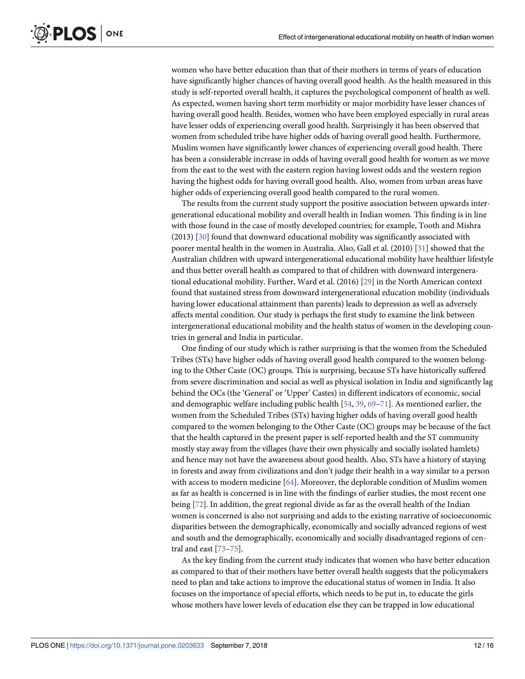<span id="page-11-0"></span>women who have better education than that of their mothers in terms of years of education have significantly higher chances of having overall good health. As the health measured in this study is self-reported overall health, it captures the psychological component of health as well. As expected, women having short term morbidity or major morbidity have lesser chances of having overall good health. Besides, women who have been employed especially in rural areas have lesser odds of experiencing overall good health. Surprisingly it has been observed that women from scheduled tribe have higher odds of having overall good health. Furthermore, Muslim women have significantly lower chances of experiencing overall good health. There has been a considerable increase in odds of having overall good health for women as we move from the east to the west with the eastern region having lowest odds and the western region having the highest odds for having overall good health. Also, women from urban areas have higher odds of experiencing overall good health compared to the rural women.

The results from the current study support the positive association between upwards intergenerational educational mobility and overall health in Indian women. This finding is in line with those found in the case of mostly developed countries; for example, Tooth and Mishra (2013) [\[30\]](#page-14-0) found that downward educational mobility was significantly associated with poorer mental health in the women in Australia. Also, Gall et al. (2010) [\[31\]](#page-14-0) showed that the Australian children with upward intergenerational educational mobility have healthier lifestyle and thus better overall health as compared to that of children with downward intergenerational educational mobility. Further, Ward et al. (2016) [\[29\]](#page-13-0) in the North American context found that sustained stress from downward intergenerational education mobility (individuals having lower educational attainment than parents) leads to depression as well as adversely affects mental condition. Our study is perhaps the first study to examine the link between intergenerational educational mobility and the health status of women in the developing countries in general and India in particular.

One finding of our study which is rather surprising is that the women from the Scheduled Tribes (STs) have higher odds of having overall good health compared to the women belonging to the Other Caste (OC) groups. This is surprising, because STs have historically suffered from severe discrimination and social as well as physical isolation in India and significantly lag behind the OCs (the 'General' or 'Upper' Castes) in different indicators of economic, social and demographic welfare including public health  $[54, 39, 69 - 71]$  $[54, 39, 69 - 71]$  $[54, 39, 69 - 71]$  $[54, 39, 69 - 71]$  $[54, 39, 69 - 71]$  $[54, 39, 69 - 71]$  $[54, 39, 69 - 71]$  $[54, 39, 69 - 71]$  $[54, 39, 69 - 71]$ . As mentioned earlier, the women from the Scheduled Tribes (STs) having higher odds of having overall good health compared to the women belonging to the Other Caste (OC) groups may be because of the fact that the health captured in the present paper is self-reported health and the ST community mostly stay away from the villages (have their own physically and socially isolated hamlets) and hence may not have the awareness about good health. Also, STs have a history of staying in forests and away from civilizations and don't judge their health in a way similar to a person with access to modern medicine [\[64\]](#page-15-0). Moreover, the deplorable condition of Muslim women as far as health is concerned is in line with the findings of earlier studies, the most recent one being [[72](#page-15-0)]. In addition, the great regional divide as far as the overall health of the Indian women is concerned is also not surprising and adds to the existing narrative of socioeconomic disparities between the demographically, economically and socially advanced regions of west and south and the demographically, economically and socially disadvantaged regions of central and east [[73–75\]](#page-15-0).

As the key finding from the current study indicates that women who have better education as compared to that of their mothers have better overall health suggests that the policymakers need to plan and take actions to improve the educational status of women in India. It also focuses on the importance of special efforts, which needs to be put in, to educate the girls whose mothers have lower levels of education else they can be trapped in low educational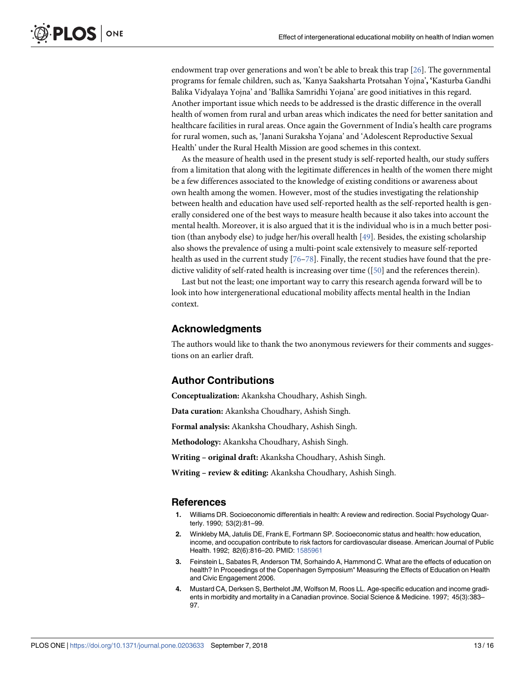<span id="page-12-0"></span>endowment trap over generations and won't be able to break this trap [\[26\]](#page-13-0). The governmental programs for female children, such as, 'Kanya Saaksharta Protsahan Yojna'**, '**Kasturba Gandhi Balika Vidyalaya Yojna' and 'Ballika Samridhi Yojana' are good initiatives in this regard. Another important issue which needs to be addressed is the drastic difference in the overall health of women from rural and urban areas which indicates the need for better sanitation and healthcare facilities in rural areas. Once again the Government of India's health care programs for rural women, such as, 'Janani Suraksha Yojana' and 'Adolescent Reproductive Sexual Health' under the Rural Health Mission are good schemes in this context.

As the measure of health used in the present study is self-reported health, our study suffers from a limitation that along with the legitimate differences in health of the women there might be a few differences associated to the knowledge of existing conditions or awareness about own health among the women. However, most of the studies investigating the relationship between health and education have used self-reported health as the self-reported health is generally considered one of the best ways to measure health because it also takes into account the mental health. Moreover, it is also argued that it is the individual who is in a much better position (than anybody else) to judge her/his overall health [[49](#page-14-0)]. Besides, the existing scholarship also shows the prevalence of using a multi-point scale extensively to measure self-reported health as used in the current study  $[76–78]$  $[76–78]$ . Finally, the recent studies have found that the predictive validity of self-rated health is increasing over time ([[50\]](#page-14-0) and the references therein).

Last but not the least; one important way to carry this research agenda forward will be to look into how intergenerational educational mobility affects mental health in the Indian context.

# **Acknowledgments**

The authors would like to thank the two anonymous reviewers for their comments and suggestions on an earlier draft.

# **Author Contributions**

**Conceptualization:** Akanksha Choudhary, Ashish Singh.

**Data curation:** Akanksha Choudhary, Ashish Singh.

**Formal analysis:** Akanksha Choudhary, Ashish Singh.

**Methodology:** Akanksha Choudhary, Ashish Singh.

**Writing – original draft:** Akanksha Choudhary, Ashish Singh.

**Writing – review & editing:** Akanksha Choudhary, Ashish Singh.

## **References**

- **[1](#page-0-0).** Williams DR. Socioeconomic differentials in health: A review and redirection. Social Psychology Quarterly. 1990; 53(2):81–99.
- **2.** Winkleby MA, Jatulis DE, Frank E, Fortmann SP. Socioeconomic status and health: how education, income, and occupation contribute to risk factors for cardiovascular disease. American Journal of Public Health. 1992; 82(6):816–20. PMID: [1585961](http://www.ncbi.nlm.nih.gov/pubmed/1585961)
- **[3](#page-3-0).** Feinstein L, Sabates R, Anderson TM, Sorhaindo A, Hammond C. What are the effects of education on health? In Proceedings of the Copenhagen Symposium" Measuring the Effects of Education on Health and Civic Engagement 2006.
- **4.** Mustard CA, Derksen S, Berthelot JM, Wolfson M, Roos LL. Age-specific education and income gradients in morbidity and mortality in a Canadian province. Social Science & Medicine. 1997; 45(3):383– 97.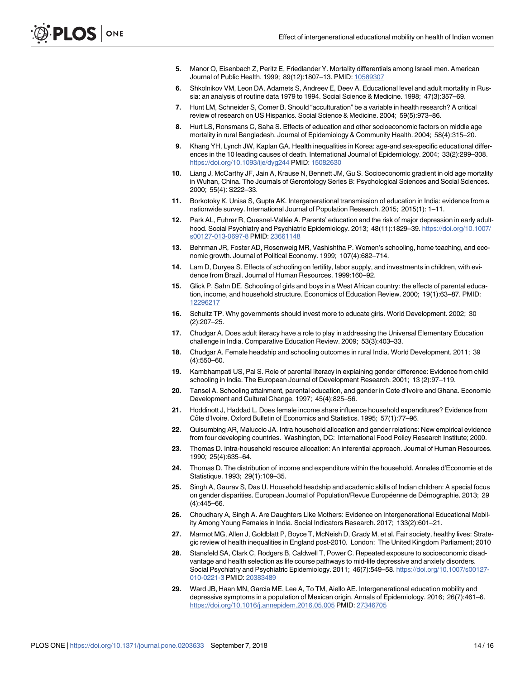- <span id="page-13-0"></span>**5.** Manor O, Eisenbach Z, Peritz E, Friedlander Y. Mortality differentials among Israeli men. American Journal of Public Health. 1999; 89(12):1807–13. PMID: [10589307](http://www.ncbi.nlm.nih.gov/pubmed/10589307)
- **6.** Shkolnikov VM, Leon DA, Adamets S, Andreev E, Deev A. Educational level and adult mortality in Russia: an analysis of routine data 1979 to 1994. Social Science & Medicine. 1998; 47(3):357–69.
- **7.** Hunt LM, Schneider S, Comer B. Should "acculturation" be a variable in health research? A critical review of research on US Hispanics. Social Science & Medicine. 2004; 59(5):973–86.
- **8.** Hurt LS, Ronsmans C, Saha S. Effects of education and other socioeconomic factors on middle age mortality in rural Bangladesh. Journal of Epidemiology & Community Health. 2004; 58(4):315–20.
- **9.** Khang YH, Lynch JW, Kaplan GA. Health inequalities in Korea: age-and sex-specific educational differences in the 10 leading causes of death. International Journal of Epidemiology. 2004; 33(2):299–308. <https://doi.org/10.1093/ije/dyg244> PMID: [15082630](http://www.ncbi.nlm.nih.gov/pubmed/15082630)
- **[10](#page-0-0).** Liang J, McCarthy JF, Jain A, Krause N, Bennett JM, Gu S. Socioeconomic gradient in old age mortality in Wuhan, China. The Journals of Gerontology Series B: Psychological Sciences and Social Sciences. 2000; 55(4): S222–33.
- **[11](#page-0-0).** Borkotoky K, Unisa S, Gupta AK. Intergenerational transmission of education in India: evidence from a nationwide survey. International Journal of Population Research. 2015; 2015(1): 1–11.
- **[12](#page-1-0).** Park AL, Fuhrer R, Quesnel-Vallée A. Parents' education and the risk of major depression in early adulthood. Social Psychiatry and Psychiatric Epidemiology. 2013; 48(11):1829–39. [https://doi.org/10.1007/](https://doi.org/10.1007/s00127-013-0697-8) [s00127-013-0697-8](https://doi.org/10.1007/s00127-013-0697-8) PMID: [23661148](http://www.ncbi.nlm.nih.gov/pubmed/23661148)
- **13.** Behrman JR, Foster AD, Rosenweig MR, Vashishtha P. Women's schooling, home teaching, and economic growth. Journal of Political Economy. 1999; 107(4):682–714.
- **14.** Lam D, Duryea S. Effects of schooling on fertility, labor supply, and investments in children, with evidence from Brazil. Journal of Human Resources. 1999:160–92.
- **15.** Glick P, Sahn DE. Schooling of girls and boys in a West African country: the effects of parental education, income, and household structure. Economics of Education Review. 2000; 19(1):63–87. PMID: [12296217](http://www.ncbi.nlm.nih.gov/pubmed/12296217)
- **16.** Schultz TP. Why governments should invest more to educate girls. World Development. 2002; 30 (2):207–25.
- **17.** Chudgar A. Does adult literacy have a role to play in addressing the Universal Elementary Education challenge in India. Comparative Education Review. 2009; 53(3):403–33.
- **18.** Chudgar A. Female headship and schooling outcomes in rural India. World Development. 2011; 39 (4):550–60.
- **19.** Kambhampati US, Pal S. Role of parental literacy in explaining gender difference: Evidence from child schooling in India. The European Journal of Development Research. 2001; 13 (2):97–119.
- **20.** Tansel A. Schooling attainment, parental education, and gender in Cote d'Ivoire and Ghana. Economic Development and Cultural Change. 1997; 45(4):825–56.
- **21.** Hoddinott J, Haddad L. Does female income share influence household expenditures? Evidence from Côte d'Ivoire. Oxford Bulletin of Economics and Statistics. 1995; 57(1):77-96.
- **22.** Quisumbing AR, Maluccio JA. Intra household allocation and gender relations: New empirical evidence from four developing countries. Washington, DC: International Food Policy Research Institute; 2000.
- **23.** Thomas D. Intra-household resource allocation: An inferential approach. Journal of Human Resources. 1990; 25(4):635–64.
- **24.** Thomas D. The distribution of income and expenditure within the household. Annales d'Economie et de Statistique. 1993; 29(1):109–35.
- **[25](#page-1-0).** Singh A, Gaurav S, Das U. Household headship and academic skills of Indian children: A special focus on gender disparities. European Journal of Population/Revue Européenne de Démographie. 2013; 29 (4):445–66.
- **[26](#page-1-0).** Choudhary A, Singh A. Are Daughters Like Mothers: Evidence on Intergenerational Educational Mobility Among Young Females in India. Social Indicators Research. 2017; 133(2):601–21.
- **[27](#page-1-0).** Marmot MG, Allen J, Goldblatt P, Boyce T, McNeish D, Grady M, et al. Fair society, healthy lives: Strategic review of health inequalities in England post-2010. London: The United Kingdom Parliament; 2010
- **[28](#page-1-0).** Stansfeld SA, Clark C, Rodgers B, Caldwell T, Power C. Repeated exposure to socioeconomic disadvantage and health selection as life course pathways to mid-life depressive and anxiety disorders. Social Psychiatry and Psychiatric Epidemiology. 2011; 46(7):549–58. [https://doi.org/10.1007/s00127-](https://doi.org/10.1007/s00127-010-0221-3) [010-0221-3](https://doi.org/10.1007/s00127-010-0221-3) PMID: [20383489](http://www.ncbi.nlm.nih.gov/pubmed/20383489)
- **[29](#page-1-0).** Ward JB, Haan MN, Garcia ME, Lee A, To TM, Aiello AE. Intergenerational education mobility and depressive symptoms in a population of Mexican origin. Annals of Epidemiology. 2016; 26(7):461–6. <https://doi.org/10.1016/j.annepidem.2016.05.005> PMID: [27346705](http://www.ncbi.nlm.nih.gov/pubmed/27346705)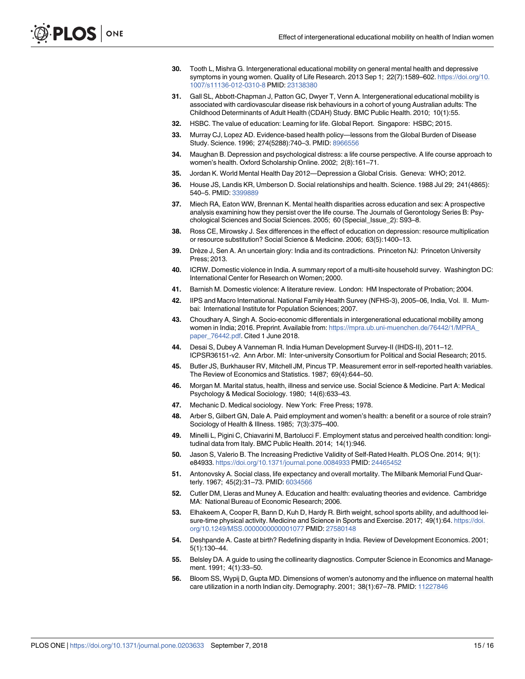- <span id="page-14-0"></span>**[30](#page-1-0).** Tooth L, Mishra G. Intergenerational educational mobility on general mental health and depressive symptoms in young women. Quality of Life Research. 2013 Sep 1; 22(7):1589–602. [https://doi.org/10.](https://doi.org/10.1007/s11136-012-0310-8) [1007/s11136-012-0310-8](https://doi.org/10.1007/s11136-012-0310-8) PMID: [23138380](http://www.ncbi.nlm.nih.gov/pubmed/23138380)
- **[31](#page-1-0).** Gall SL, Abbott-Chapman J, Patton GC, Dwyer T, Venn A. Intergenerational educational mobility is associated with cardiovascular disease risk behaviours in a cohort of young Australian adults: The Childhood Determinants of Adult Health (CDAH) Study. BMC Public Health. 2010; 10(1):55.
- **[32](#page-1-0).** HSBC. The value of education: Learning for life. Global Report. Singapore: HSBC; 2015.
- **[33](#page-1-0).** Murray CJ, Lopez AD. Evidence-based health policy—lessons from the Global Burden of Disease Study. Science. 1996; 274(5288):740–3. PMID: [8966556](http://www.ncbi.nlm.nih.gov/pubmed/8966556)
- **[34](#page-1-0).** Maughan B. Depression and psychological distress: a life course perspective. A life course approach to women's health. Oxford Scholarship Online. 2002; 2(8):161–71.
- **[35](#page-1-0).** Jordan K. World Mental Health Day 2012—Depression a Global Crisis. Geneva: WHO; 2012.
- **[36](#page-1-0).** House JS, Landis KR, Umberson D. Social relationships and health. Science. 1988 Jul 29; 241(4865): 540–5. PMID: [3399889](http://www.ncbi.nlm.nih.gov/pubmed/3399889)
- **[37](#page-2-0).** Miech RA, Eaton WW, Brennan K. Mental health disparities across education and sex: A prospective analysis examining how they persist over the life course. The Journals of Gerontology Series B: Psychological Sciences and Social Sciences. 2005; 60 (Special\_Issue\_2): S93–8.
- **[38](#page-2-0).** Ross CE, Mirowsky J. Sex differences in the effect of education on depression: resource multiplication or resource substitution? Social Science & Medicine. 2006; 63(5):1400–13.
- **[39](#page-2-0).** Drèze J, Sen A. An uncertain glory: India and its contradictions. Princeton NJ: Princeton University Press; 2013.
- **[40](#page-2-0).** ICRW. Domestic violence in India. A summary report of a multi-site household survey. Washington DC: International Center for Research on Women; 2000.
- **41.** Barnish M. Domestic violence: A literature review. London: HM Inspectorate of Probation; 2004.
- **[42](#page-2-0).** IIPS and Macro International. National Family Health Survey (NFHS-3), 2005–06, India, Vol. II. Mumbai: International Institute for Population Sciences; 2007.
- **[43](#page-2-0).** Choudhary A, Singh A. Socio-economic differentials in intergenerational educational mobility among women in India; 2016. Preprint. Available from: [https://mpra.ub.uni-muenchen.de/76442/1/MPRA\\_](https://mpra.ub.uni-muenchen.de/76442/1/MPRA_paper_76442.pdf) [paper\\_76442.pdf.](https://mpra.ub.uni-muenchen.de/76442/1/MPRA_paper_76442.pdf) Cited 1 June 2018.
- **[44](#page-2-0).** Desai S, Dubey A Vanneman R. India Human Development Survey-II (IHDS-II), 2011–12. ICPSR36151-v2. Ann Arbor. MI: Inter-university Consortium for Political and Social Research; 2015.
- **[45](#page-3-0).** Butler JS, Burkhauser RV, Mitchell JM, Pincus TP. Measurement error in self-reported health variables. The Review of Economics and Statistics. 1987; 69(4):644–50.
- **[46](#page-3-0).** Morgan M. Marital status, health, illness and service use. Social Science & Medicine. Part A: Medical Psychology & Medical Sociology. 1980; 14(6):633–43.
- **[47](#page-3-0).** Mechanic D. Medical sociology. New York: Free Press; 1978.
- **[48](#page-3-0).** Arber S, Gilbert GN, Dale A. Paid employment and women's health: a benefit or a source of role strain? Sociology of Health & Illness. 1985; 7(3):375–400.
- **[49](#page-3-0).** Minelli L, Pigini C, Chiavarini M, Bartolucci F. Employment status and perceived health condition: longitudinal data from Italy. BMC Public Health. 2014; 14(1):946.
- **[50](#page-3-0).** Jason S, Valerio B. The Increasing Predictive Validity of Self-Rated Health. PLOS One. 2014; 9(1): e84933. <https://doi.org/10.1371/journal.pone.0084933> PMID: [24465452](http://www.ncbi.nlm.nih.gov/pubmed/24465452)
- **[51](#page-3-0).** Antonovsky A. Social class, life expectancy and overall mortality. The Milbank Memorial Fund Quarterly. 1967; 45(2):31–73. PMID: [6034566](http://www.ncbi.nlm.nih.gov/pubmed/6034566)
- **52.** Cutler DM, Lleras and Muney A. Education and health: evaluating theories and evidence. Cambridge MA: National Bureau of Economic Research; 2006.
- **[53](#page-3-0).** Elhakeem A, Cooper R, Bann D, Kuh D, Hardy R. Birth weight, school sports ability, and adulthood leisure-time physical activity. Medicine and Science in Sports and Exercise. 2017; 49(1):64. [https://doi.](https://doi.org/10.1249/MSS.0000000000001077) [org/10.1249/MSS.0000000000001077](https://doi.org/10.1249/MSS.0000000000001077) PMID: [27580148](http://www.ncbi.nlm.nih.gov/pubmed/27580148)
- **[54](#page-4-0).** Deshpande A. Caste at birth? Redefining disparity in India. Review of Development Economics. 2001; 5(1):130–44.
- **[55](#page-4-0).** Belsley DA. A guide to using the collinearity diagnostics. Computer Science in Economics and Management. 1991; 4(1):33-50.
- **[56](#page-4-0).** Bloom SS, Wypij D, Gupta MD. Dimensions of women's autonomy and the influence on maternal health care utilization in a north Indian city. Demography. 2001; 38(1):67–78. PMID: [11227846](http://www.ncbi.nlm.nih.gov/pubmed/11227846)